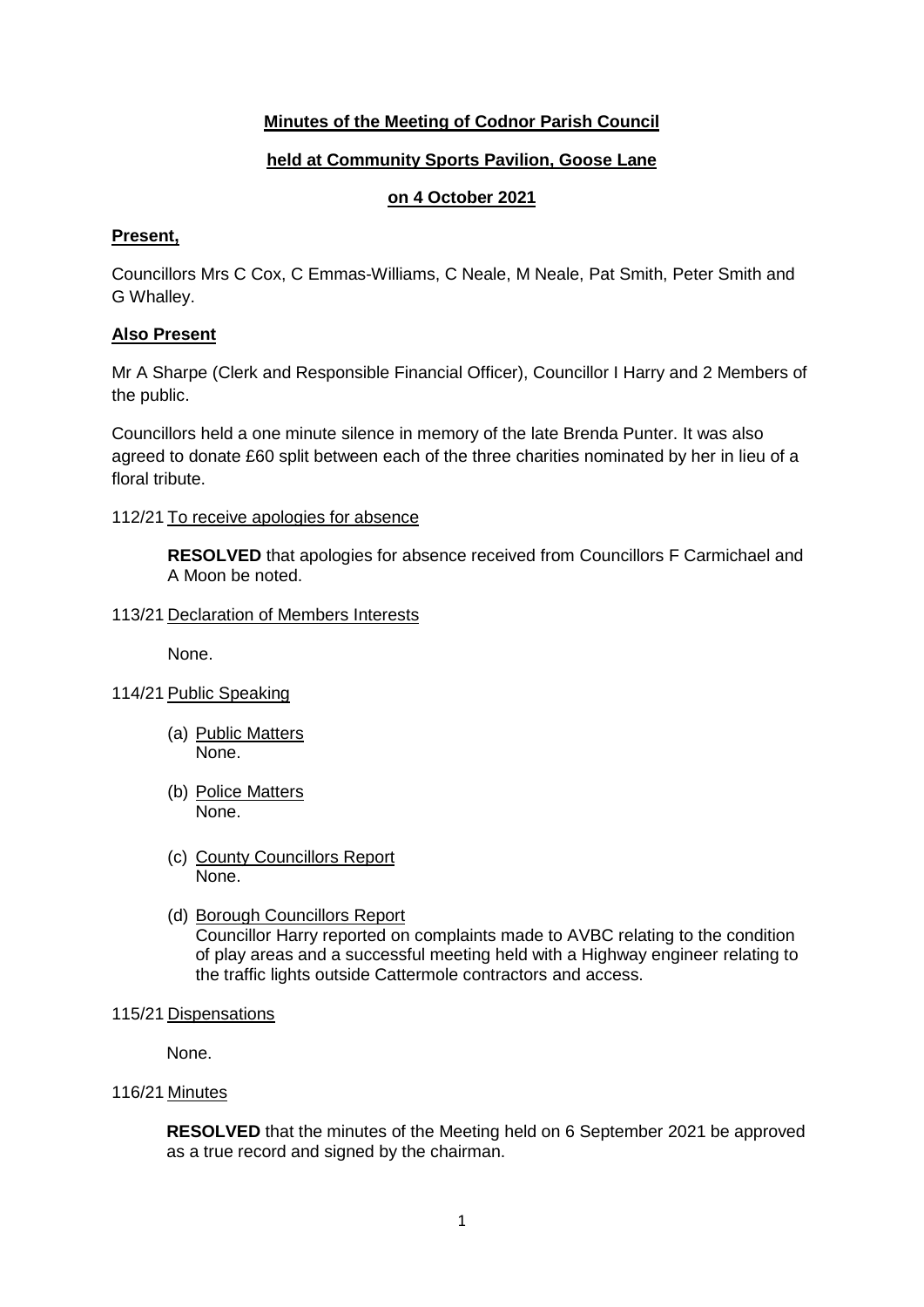# **Minutes of the Meeting of Codnor Parish Council**

## **held at Community Sports Pavilion, Goose Lane**

## **on 4 October 2021**

#### **Present,**

Councillors Mrs C Cox, C Emmas-Williams, C Neale, M Neale, Pat Smith, Peter Smith and G Whalley.

## **Also Present**

Mr A Sharpe (Clerk and Responsible Financial Officer), Councillor I Harry and 2 Members of the public.

Councillors held a one minute silence in memory of the late Brenda Punter. It was also agreed to donate £60 split between each of the three charities nominated by her in lieu of a floral tribute.

#### 112/21 To receive apologies for absence

**RESOLVED** that apologies for absence received from Councillors F Carmichael and A Moon be noted.

#### 113/21 Declaration of Members Interests

None.

- 114/21 Public Speaking
	- (a) Public Matters None.
	- (b) Police Matters None.
	- (c) County Councillors Report None.
	- (d) Borough Councillors Report

Councillor Harry reported on complaints made to AVBC relating to the condition of play areas and a successful meeting held with a Highway engineer relating to the traffic lights outside Cattermole contractors and access.

115/21 Dispensations

None.

116/21 Minutes

**RESOLVED** that the minutes of the Meeting held on 6 September 2021 be approved as a true record and signed by the chairman.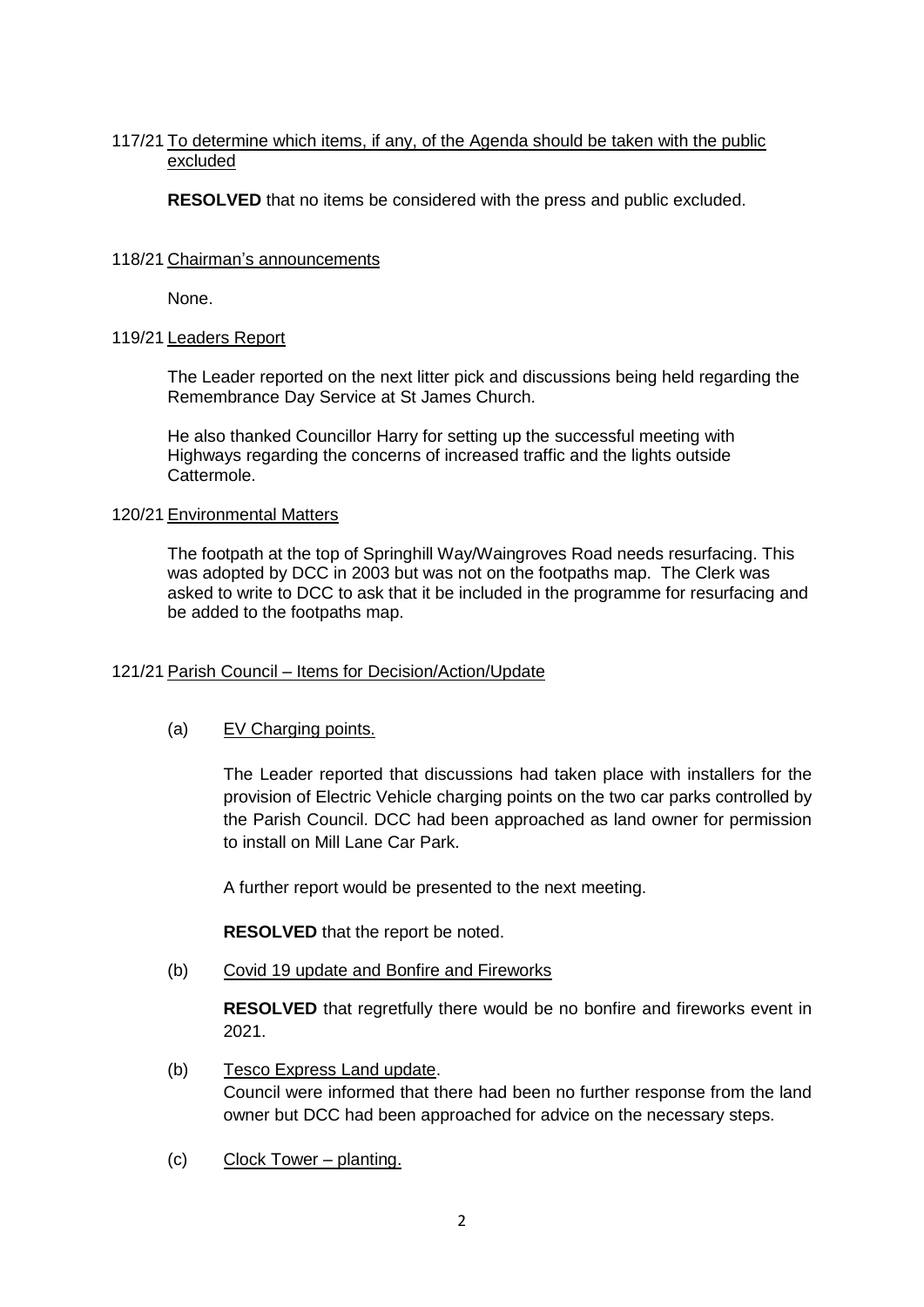## 117/21 To determine which items, if any, of the Agenda should be taken with the public excluded

**RESOLVED** that no items be considered with the press and public excluded.

#### 118/21 Chairman's announcements

None.

#### 119/21 Leaders Report

The Leader reported on the next litter pick and discussions being held regarding the Remembrance Day Service at St James Church.

He also thanked Councillor Harry for setting up the successful meeting with Highways regarding the concerns of increased traffic and the lights outside Cattermole.

#### 120/21 Environmental Matters

The footpath at the top of Springhill Way/Waingroves Road needs resurfacing. This was adopted by DCC in 2003 but was not on the footpaths map. The Clerk was asked to write to DCC to ask that it be included in the programme for resurfacing and be added to the footpaths map.

## 121/21 Parish Council – Items for Decision/Action/Update

## (a) EV Charging points.

The Leader reported that discussions had taken place with installers for the provision of Electric Vehicle charging points on the two car parks controlled by the Parish Council. DCC had been approached as land owner for permission to install on Mill Lane Car Park.

A further report would be presented to the next meeting.

**RESOLVED** that the report be noted.

(b) Covid 19 update and Bonfire and Fireworks

**RESOLVED** that regretfully there would be no bonfire and fireworks event in 2021.

(b) Tesco Express Land update.

Council were informed that there had been no further response from the land owner but DCC had been approached for advice on the necessary steps.

(c) Clock Tower – planting.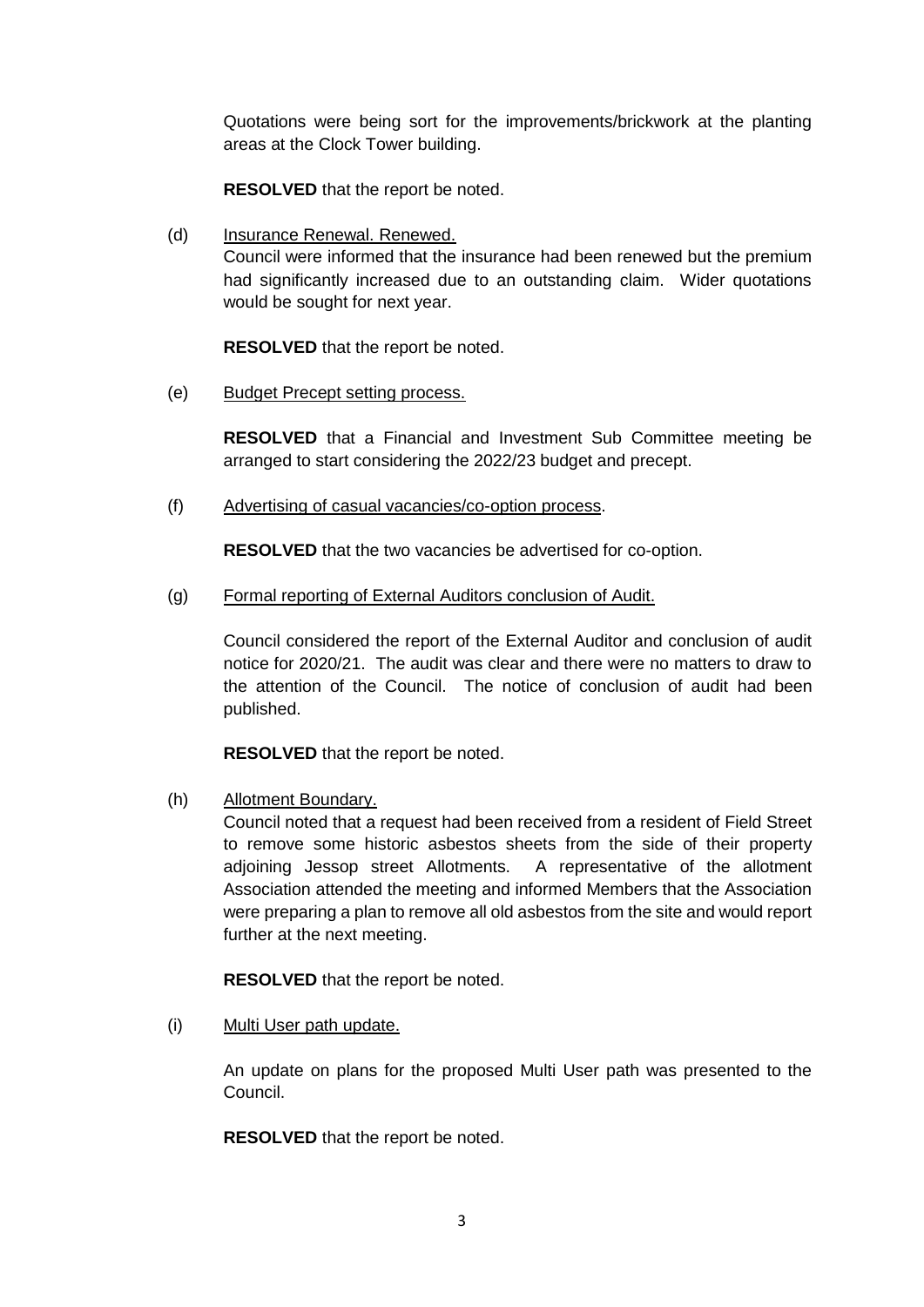Quotations were being sort for the improvements/brickwork at the planting areas at the Clock Tower building.

**RESOLVED** that the report be noted.

(d) Insurance Renewal. Renewed. Council were informed that the insurance had been renewed but the premium had significantly increased due to an outstanding claim. Wider quotations would be sought for next year.

**RESOLVED** that the report be noted.

(e) Budget Precept setting process.

**RESOLVED** that a Financial and Investment Sub Committee meeting be arranged to start considering the 2022/23 budget and precept.

(f) Advertising of casual vacancies/co-option process.

**RESOLVED** that the two vacancies be advertised for co-option.

(g) Formal reporting of External Auditors conclusion of Audit.

Council considered the report of the External Auditor and conclusion of audit notice for 2020/21. The audit was clear and there were no matters to draw to the attention of the Council. The notice of conclusion of audit had been published.

**RESOLVED** that the report be noted.

(h) Allotment Boundary.

Council noted that a request had been received from a resident of Field Street to remove some historic asbestos sheets from the side of their property adjoining Jessop street Allotments. A representative of the allotment Association attended the meeting and informed Members that the Association were preparing a plan to remove all old asbestos from the site and would report further at the next meeting.

**RESOLVED** that the report be noted.

(i) Multi User path update.

An update on plans for the proposed Multi User path was presented to the Council.

**RESOLVED** that the report be noted.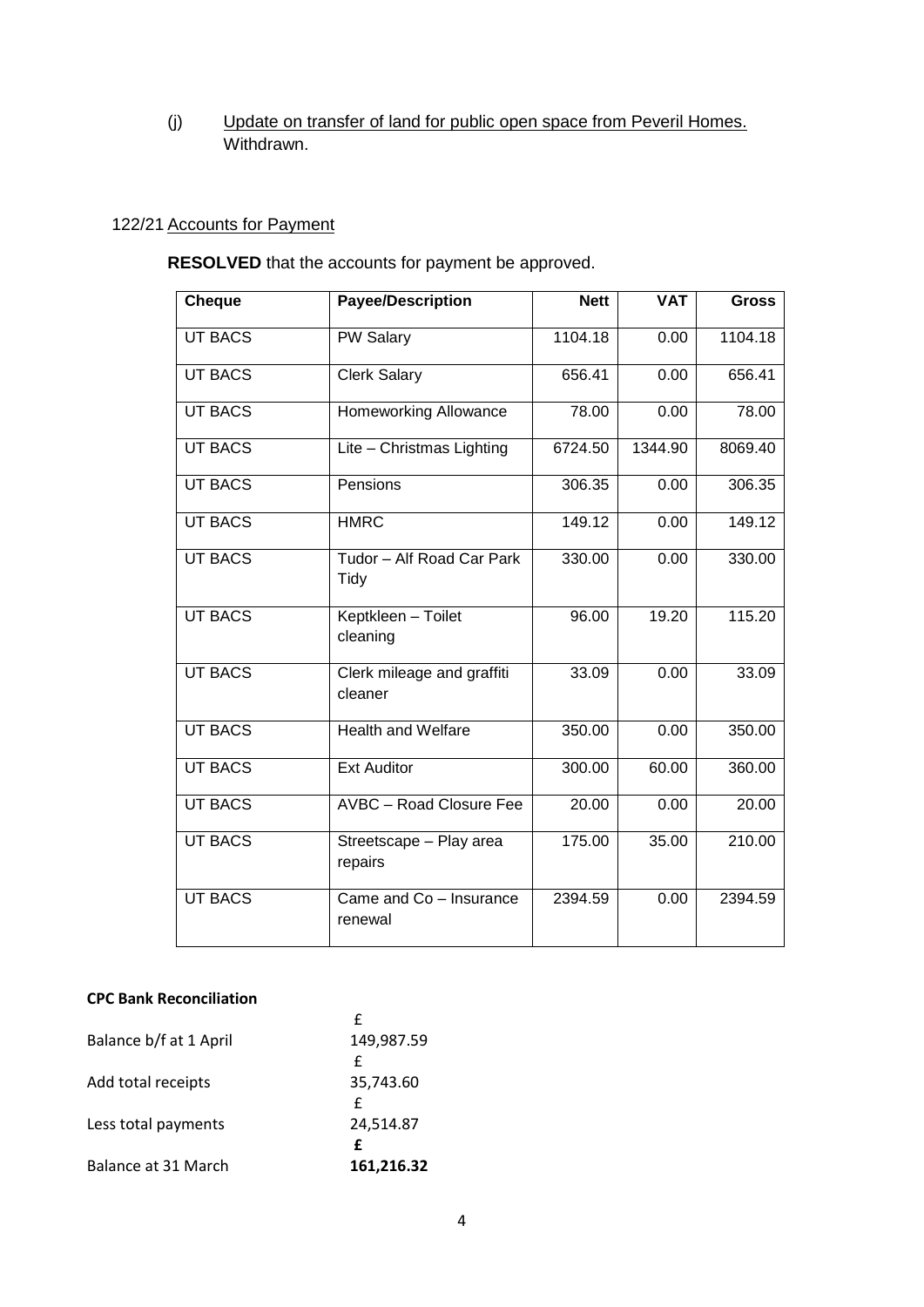# (j) Update on transfer of land for public open space from Peveril Homes. Withdrawn.

# 122/21 Accounts for Payment

**RESOLVED** that the accounts for payment be approved.

| <b>Cheque</b>  | <b>Payee/Description</b>              | <b>Nett</b> | <b>VAT</b> | <b>Gross</b> |
|----------------|---------------------------------------|-------------|------------|--------------|
|                |                                       |             |            |              |
| <b>UT BACS</b> | PW Salary                             | 1104.18     | 0.00       | 1104.18      |
| <b>UT BACS</b> | <b>Clerk Salary</b>                   | 656.41      | 0.00       | 656.41       |
| <b>UT BACS</b> | <b>Homeworking Allowance</b>          | 78.00       | 0.00       | 78.00        |
| <b>UT BACS</b> | Lite - Christmas Lighting             | 6724.50     | 1344.90    | 8069.40      |
| <b>UT BACS</b> | Pensions                              | 306.35      | 0.00       | 306.35       |
| <b>UT BACS</b> | <b>HMRC</b>                           | 149.12      | 0.00       | 149.12       |
| <b>UT BACS</b> | Tudor - Alf Road Car Park<br>Tidy     | 330.00      | 0.00       | 330.00       |
| <b>UT BACS</b> | Keptkleen - Toilet<br>cleaning        | 96.00       | 19.20      | 115.20       |
| <b>UT BACS</b> | Clerk mileage and graffiti<br>cleaner | 33.09       | 0.00       | 33.09        |
| <b>UT BACS</b> | <b>Health and Welfare</b>             | 350.00      | 0.00       | 350.00       |
| <b>UT BACS</b> | <b>Ext Auditor</b>                    | 300.00      | 60.00      | 360.00       |
| <b>UT BACS</b> | <b>AVBC</b> - Road Closure Fee        | 20.00       | 0.00       | 20.00        |
| <b>UT BACS</b> | Streetscape - Play area<br>repairs    | 175.00      | 35.00      | 210.00       |
| <b>UT BACS</b> | Came and Co - Insurance<br>renewal    | 2394.59     | 0.00       | 2394.59      |

# **CPC Bank Reconciliation**

|                        | f          |
|------------------------|------------|
| Balance b/f at 1 April | 149,987.59 |
|                        | f          |
| Add total receipts     | 35,743.60  |
|                        | £          |
| Less total payments    | 24,514.87  |
|                        | f          |
| Balance at 31 March    | 161,216.32 |